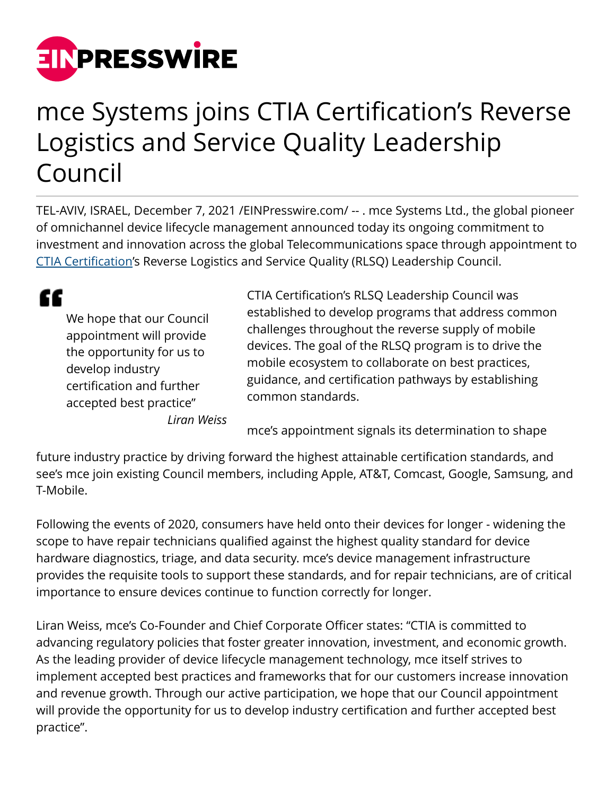

## mce Systems joins CTIA Certification's Reverse Logistics and Service Quality Leadership Council

TEL-AVIV, ISRAEL, December 7, 2021 [/EINPresswire.com/](http://www.einpresswire.com) -- . mce Systems Ltd., the global pioneer of omnichannel device lifecycle management announced today its ongoing commitment to investment and innovation across the global Telecommunications space through appointment to [CTIA Certification](https://ctiacertification.org/)'s Reverse Logistics and Service Quality (RLSQ) Leadership Council.

" We hope that our Council appointment will provide the opportunity for us to develop industry certification and further accepted best practice"

*Liran Weiss*

CTIA Certification's RLSQ Leadership Council was established to develop programs that address common challenges throughout the reverse supply of mobile devices. The goal of the RLSQ program is to drive the mobile ecosystem to collaborate on best practices, guidance, and certification pathways by establishing common standards.

mce's appointment signals its determination to shape

future industry practice by driving forward the highest attainable certification standards, and see's mce join existing Council members, including Apple, AT&T, Comcast, Google, Samsung, and T-Mobile.

Following the events of 2020, consumers have held onto their devices for longer - widening the scope to have repair technicians qualified against the highest quality standard for device hardware diagnostics, triage, and data security. mce's device management infrastructure provides the requisite tools to support these standards, and for repair technicians, are of critical importance to ensure devices continue to function correctly for longer.

Liran Weiss, mce's Co-Founder and Chief Corporate Officer states: "CTIA is committed to advancing regulatory policies that foster greater innovation, investment, and economic growth. As the leading provider of device lifecycle management technology, mce itself strives to implement accepted best practices and frameworks that for our customers increase innovation and revenue growth. Through our active participation, we hope that our Council appointment will provide the opportunity for us to develop industry certification and further accepted best practice".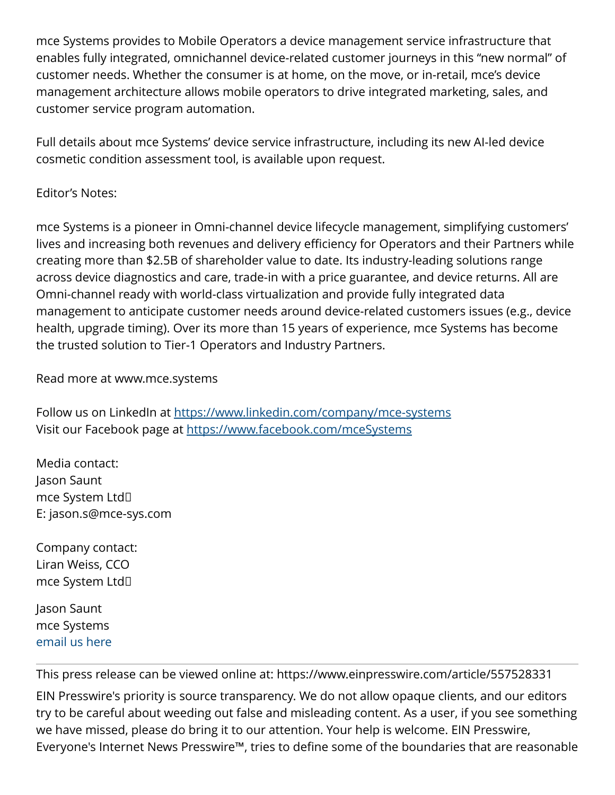mce Systems provides to Mobile Operators a device management service infrastructure that enables fully integrated, omnichannel device-related customer journeys in this "new normal" of customer needs. Whether the consumer is at home, on the move, or in-retail, mce's device management architecture allows mobile operators to drive integrated marketing, sales, and customer service program automation.

Full details about mce Systems' device service infrastructure, including its new AI-led device cosmetic condition assessment tool, is available upon request.

## Editor's Notes:

mce Systems is a pioneer in Omni-channel device lifecycle management, simplifying customers' lives and increasing both revenues and delivery efficiency for Operators and their Partners while creating more than \$2.5B of shareholder value to date. Its industry-leading solutions range across device diagnostics and care, trade-in with a price guarantee, and device returns. All are Omni-channel ready with world-class virtualization and provide fully integrated data management to anticipate customer needs around device-related customers issues (e.g., device health, upgrade timing). Over its more than 15 years of experience, mce Systems has become the trusted solution to Tier-1 Operators and Industry Partners.

Read more at www.mce.systems

Follow us on LinkedIn at<https://www.linkedin.com/company/mce-systems> Visit our Facebook page at <https://www.facebook.com/mceSystems>

Media contact: Jason Saunt mce System Ltd E: jason.s@mce-sys.com

Company contact: Liran Weiss, CCO mce System Ltd

Jason Saunt mce Systems [email us here](http://www.einpresswire.com/contact_author/3208727)

This press release can be viewed online at: <https://www.einpresswire.com/article/557528331>

EIN Presswire's priority is source transparency. We do not allow opaque clients, and our editors try to be careful about weeding out false and misleading content. As a user, if you see something we have missed, please do bring it to our attention. Your help is welcome. EIN Presswire, Everyone's Internet News Presswire™, tries to define some of the boundaries that are reasonable